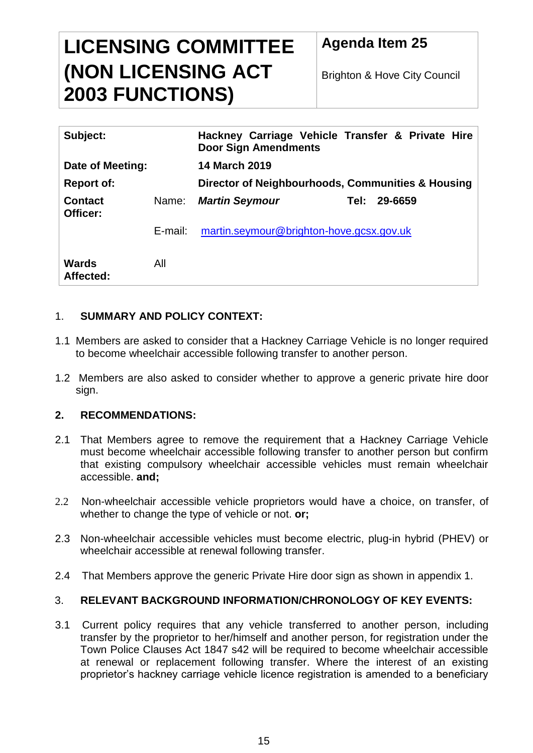# **LICENSING COMMITTEE (NON LICENSING ACT 2003 FUNCTIONS)**

Brighton & Hove City Council

| Subject:                   |         | Hackney Carriage Vehicle Transfer & Private Hire<br><b>Door Sign Amendments</b> |      |         |
|----------------------------|---------|---------------------------------------------------------------------------------|------|---------|
| Date of Meeting:           |         | <b>14 March 2019</b>                                                            |      |         |
| <b>Report of:</b>          |         | Director of Neighbourhoods, Communities & Housing                               |      |         |
| <b>Contact</b><br>Officer: | Name:   | <b>Martin Seymour</b>                                                           | Tel: | 29-6659 |
|                            | E-mail: | martin.seymour@brighton-hove.gcsx.gov.uk                                        |      |         |
| <b>Wards</b><br>Affected:  | All     |                                                                                 |      |         |

# 1. **SUMMARY AND POLICY CONTEXT:**

- 1.1 Members are asked to consider that a Hackney Carriage Vehicle is no longer required to become wheelchair accessible following transfer to another person.
- 1.2 Members are also asked to consider whether to approve a generic private hire door sign.

# **2. RECOMMENDATIONS:**

- 2.1 That Members agree to remove the requirement that a Hackney Carriage Vehicle must become wheelchair accessible following transfer to another person but confirm that existing compulsory wheelchair accessible vehicles must remain wheelchair accessible. **and;**
- 2.2 Non-wheelchair accessible vehicle proprietors would have a choice, on transfer, of whether to change the type of vehicle or not. **or;**
- 2.3 Non-wheelchair accessible vehicles must become electric, plug-in hybrid (PHEV) or wheelchair accessible at renewal following transfer.
- 2.4 That Members approve the generic Private Hire door sign as shown in appendix 1.

## 3. **RELEVANT BACKGROUND INFORMATION/CHRONOLOGY OF KEY EVENTS:**

3.1 Current policy requires that any vehicle transferred to another person, including transfer by the proprietor to her/himself and another person, for registration under the Town Police Clauses Act 1847 s42 will be required to become wheelchair accessible at renewal or replacement following transfer. Where the interest of an existing proprietor's hackney carriage vehicle licence registration is amended to a beneficiary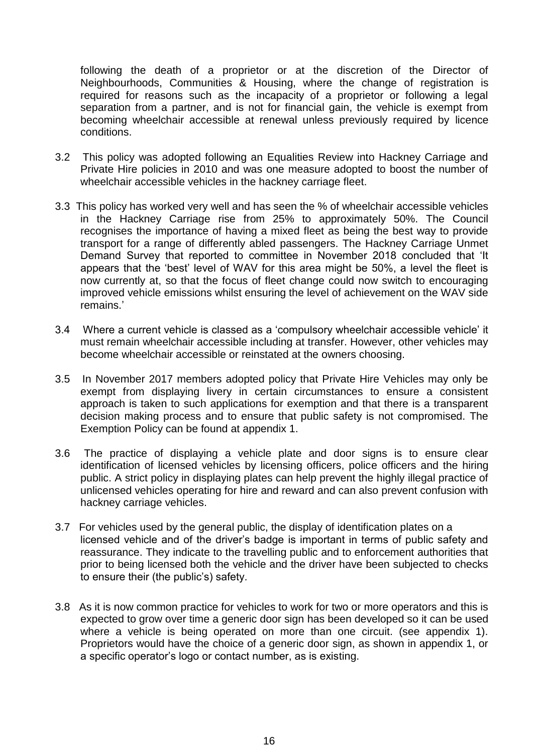following the death of a proprietor or at the discretion of the Director of Neighbourhoods, Communities & Housing, where the change of registration is required for reasons such as the incapacity of a proprietor or following a legal separation from a partner, and is not for financial gain, the vehicle is exempt from becoming wheelchair accessible at renewal unless previously required by licence conditions.

- 3.2 This policy was adopted following an Equalities Review into Hackney Carriage and Private Hire policies in 2010 and was one measure adopted to boost the number of wheelchair accessible vehicles in the hackney carriage fleet.
- 3.3 This policy has worked very well and has seen the % of wheelchair accessible vehicles in the Hackney Carriage rise from 25% to approximately 50%. The Council recognises the importance of having a mixed fleet as being the best way to provide transport for a range of differently abled passengers. The Hackney Carriage Unmet Demand Survey that reported to committee in November 2018 concluded that 'It appears that the 'best' level of WAV for this area might be 50%, a level the fleet is now currently at, so that the focus of fleet change could now switch to encouraging improved vehicle emissions whilst ensuring the level of achievement on the WAV side remains.'
- 3.4 Where a current vehicle is classed as a 'compulsory wheelchair accessible vehicle' it must remain wheelchair accessible including at transfer. However, other vehicles may become wheelchair accessible or reinstated at the owners choosing.
- 3.5 In November 2017 members adopted policy that Private Hire Vehicles may only be exempt from displaying livery in certain circumstances to ensure a consistent approach is taken to such applications for exemption and that there is a transparent decision making process and to ensure that public safety is not compromised. The Exemption Policy can be found at appendix 1.
- 3.6 The practice of displaying a vehicle plate and door signs is to ensure clear identification of licensed vehicles by licensing officers, police officers and the hiring public. A strict policy in displaying plates can help prevent the highly illegal practice of unlicensed vehicles operating for hire and reward and can also prevent confusion with hackney carriage vehicles.
- 3.7 For vehicles used by the general public, the display of identification plates on a licensed vehicle and of the driver's badge is important in terms of public safety and reassurance. They indicate to the travelling public and to enforcement authorities that prior to being licensed both the vehicle and the driver have been subjected to checks to ensure their (the public's) safety.
- 3.8 As it is now common practice for vehicles to work for two or more operators and this is expected to grow over time a generic door sign has been developed so it can be used where a vehicle is being operated on more than one circuit. (see appendix 1). Proprietors would have the choice of a generic door sign, as shown in appendix 1, or a specific operator's logo or contact number, as is existing.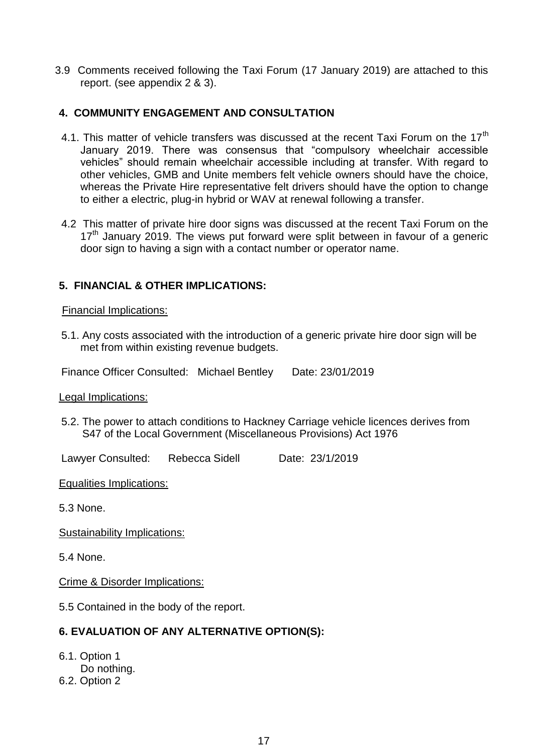3.9 Comments received following the Taxi Forum (17 January 2019) are attached to this report. (see appendix 2 & 3).

#### **4. COMMUNITY ENGAGEMENT AND CONSULTATION**

- 4.1. This matter of vehicle transfers was discussed at the recent Taxi Forum on the 17<sup>th</sup> January 2019. There was consensus that "compulsory wheelchair accessible vehicles" should remain wheelchair accessible including at transfer. With regard to other vehicles, GMB and Unite members felt vehicle owners should have the choice, whereas the Private Hire representative felt drivers should have the option to change to either a electric, plug-in hybrid or WAV at renewal following a transfer.
- 4.2 This matter of private hire door signs was discussed at the recent Taxi Forum on the  $17<sup>th</sup>$  January 2019. The views put forward were split between in favour of a generic door sign to having a sign with a contact number or operator name.

#### **5. FINANCIAL & OTHER IMPLICATIONS:**

#### Financial Implications:

5.1. Any costs associated with the introduction of a generic private hire door sign will be met from within existing revenue budgets.

Finance Officer Consulted: Michael Bentley Date: 23/01/2019

#### Legal Implications:

5.2. The power to attach conditions to Hackney Carriage vehicle licences derives from S47 of the Local Government (Miscellaneous Provisions) Act 1976

Lawyer Consulted: Rebecca Sidell Date: 23/1/2019

Equalities Implications:

5.3 None.

Sustainability Implications:

5.4 None.

Crime & Disorder Implications:

5.5 Contained in the body of the report.

## **6. EVALUATION OF ANY ALTERNATIVE OPTION(S):**

6.1. Option 1 Do nothing. 6.2. Option 2